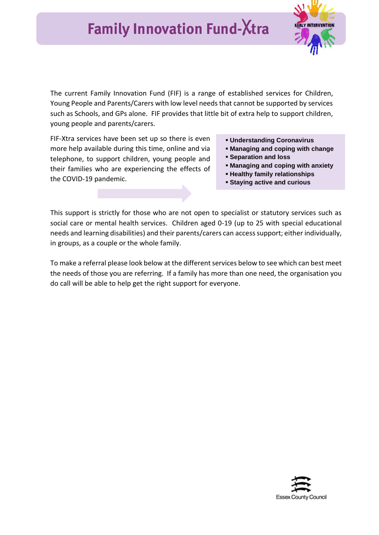

The current Family Innovation Fund (FIF) is a range of established services for Children, Young People and Parents/Carers with low level needs that cannot be supported by services such as Schools, and GPs alone. FIF provides that little bit of extra help to support children, young people and parents/carers.

FIF-Xtra services have been set up so there is even more help available during this time, online and via telephone, to support children, young people and their families who are experiencing the effects of the COVID-19 pandemic.

- **Understanding Coronavirus**
- **Managing and coping with change**
- **Separation and loss**
- **Managing and coping with anxiety**
- **Healthy family relationships**
- **Staying active and curious**

This support is strictly for those who are not open to specialist or statutory services such as social care or mental health services. Children aged 0-19 (up to 25 with special educational needs and learning disabilities) and their parents/carers can access support; either individually, in groups, as a couple or the whole family.

To make a referral please look below at the different services below to see which can best meet the needs of those you are referring. If a family has more than one need, the organisation you do call will be able to help get the right support for everyone.

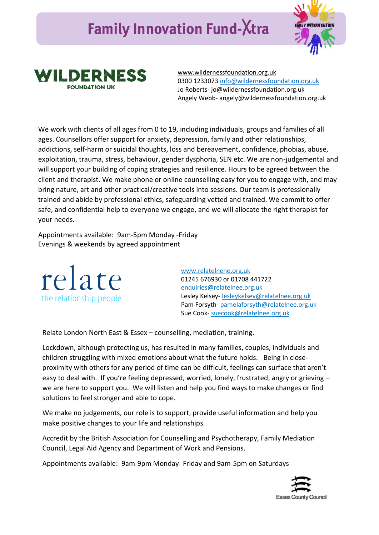## **Family Innovation Fund-**X**tra**





[www.wildernessfoundation.org.uk](http://www.wildernessfoundation.org.uk/) 0300 1233073 [info@wildernessfoundation.org.uk](mailto:info@wildernessfoundation.org.uk) Jo Roberts- jo@wildernessfoundation.org.uk Angely Webb- angely@wildernessfoundation.org.uk

We work with clients of all ages from 0 to 19, including individuals, groups and families of all ages. Counsellors offer support for anxiety, depression, family and other relationships, addictions, self-harm or suicidal thoughts, loss and bereavement, confidence, phobias, abuse, exploitation, trauma, stress, behaviour, gender dysphoria, SEN etc. We are non-judgemental and will support your building of coping strategies and resilience. Hours to be agreed between the client and therapist. We make phone or online counselling easy for you to engage with, and may bring nature, art and other practical/creative tools into sessions. Our team is professionally trained and abide by professional ethics, safeguarding vetted and trained. We commit to offer safe, and confidential help to everyone we engage, and we will allocate the right therapist for your needs.

Appointments available: 9am-5pm Monday -Friday Evenings & weekends by agreed appointment



[www.relatelnene.org.uk](https://eur02.safelinks.protection.outlook.com/?url=http%3A%2F%2Fwww.relatelnene.org.uk%2F&data=02%7C01%7C%7Cd77b7be91f82401d855508d808882d34%7Ca8b4324f155c4215a0f17ed8cc9a992f%7C0%7C0%7C637268728259581014&sdata=KUfFOGeVPs7LdmAHro7irbxy9JFts6dIJ%2BXOtyqJy7E%3D&reserved=0) 01245 676930 or 01708 441722 [enquiries@relatelnee.org.uk](mailto:enquiries@relatelnee.org.uk) Lesley Kelsey- [lesleykelsey@relatelnee.org.uk](mailto:lesleykelsey@relatelnee.org.uk) Pam Forsyth- pamelaforsyth@relatelnee.org.uk Sue Cook- suecook@relatelnee.org.uk

Relate London North East & Essex – counselling, mediation, training.

Lockdown, although protecting us, has resulted in many families, couples, individuals and children struggling with mixed emotions about what the future holds. Being in closeproximity with others for any period of time can be difficult, feelings can surface that aren't easy to deal with. If you're feeling depressed, worried, lonely, frustrated, angry or grieving – we are here to support you. We will listen and help you find ways to make changes or find solutions to feel stronger and able to cope.

We make no judgements, our role is to support, provide useful information and help you make positive changes to your life and relationships.

Accredit by the British Association for Counselling and Psychotherapy, Family Mediation Council, Legal Aid Agency and Department of Work and Pensions.

Appointments available: 9am-9pm Monday- Friday and 9am-5pm on Saturdays

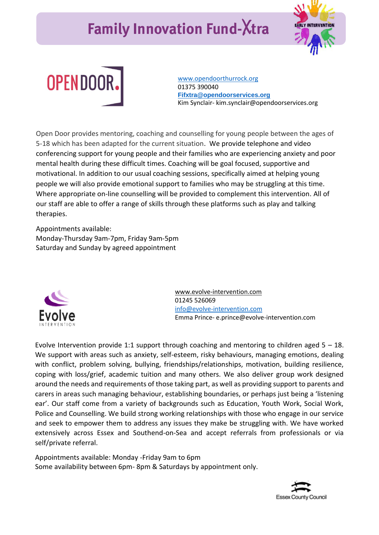## **Family Innovation Fund-**X**tra**





[www.opendoorthurrock.org](http://www.opendoorthurrock.org/) 01375 390040 **[Fifxtra@opendoorservices.org](mailto:Fifxtra@opendoorservices.org)** Kim Synclair- kim.synclair@opendoorservices.org

Open Door provides mentoring, coaching and counselling for young people between the ages of 5-18 which has been adapted for the current situation. We provide telephone and video conferencing support for young people and their families who are experiencing anxiety and poor mental health during these difficult times. Coaching will be goal focused, supportive and motivational. In addition to our usual coaching sessions, specifically aimed at helping young people we will also provide emotional support to families who may be struggling at this time. Where appropriate on-line counselling will be provided to complement this intervention. All of our staff are able to offer a range of skills through these platforms such as play and talking therapies.

Appointments available: Monday-Thursday 9am-7pm, Friday 9am-5pm Saturday and Sunday by agreed appointment



[www.evolve-intervention.com](https://www.evolve-intervention.com/) 01245 526069 [info@evolve-intervention.com](mailto:info@evolve-intervention.com) Emma Prince- e.prince@evolve-intervention.com

Evolve Intervention provide 1:1 support through coaching and mentoring to children aged  $5 - 18$ . We support with areas such as anxiety, self-esteem, risky behaviours, managing emotions, dealing with conflict, problem solving, bullying, friendships/relationships, motivation, building resilience, coping with loss/grief, academic tuition and many others. We also deliver group work designed around the needs and requirements of those taking part, as well as providing support to parents and carers in areas such managing behaviour, establishing boundaries, or perhaps just being a 'listening ear'. Our staff come from a variety of backgrounds such as Education, Youth Work, Social Work, Police and Counselling. We build strong working relationships with those who engage in our service and seek to empower them to address any issues they make be struggling with. We have worked extensively across Essex and Southend-on-Sea and accept referrals from professionals or via self/private referral.

Appointments available: Monday -Friday 9am to 6pm Some availability between 6pm- 8pm & Saturdays by appointment only.